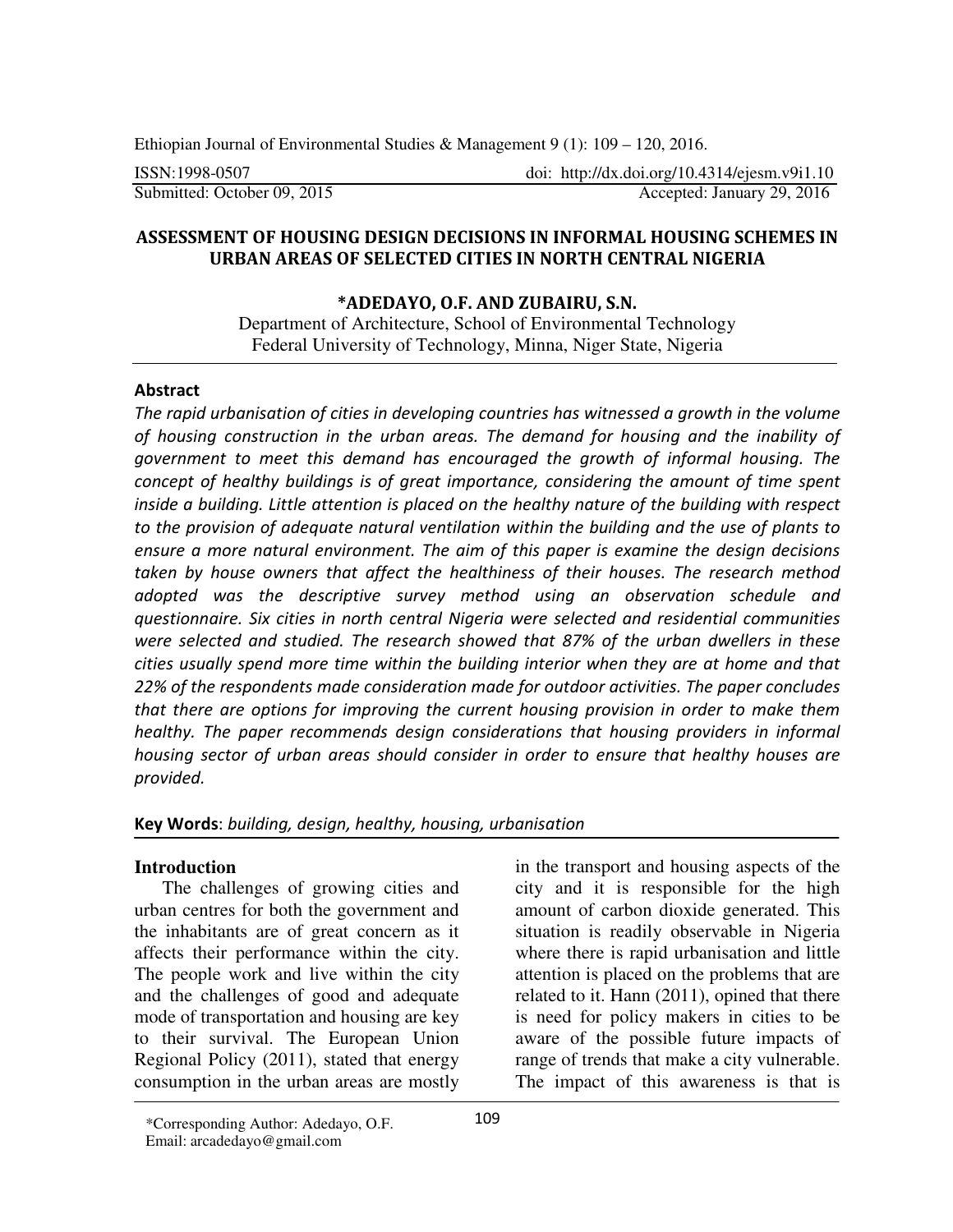Ethiopian Journal of Environmental Studies & Management 9 (1): 109 – 120, 2016.

ISSN:1998-0507 doi: http://dx.doi.org/10.4314/ejesm.v9i1.10

Submitted: October 09, 2015 Accepted: January 29, 2016

## **ASSESSMENT OF HOUSING DESIGN DECISIONS IN INFORMAL HOUSING SCHEMES IN URBAN AREAS OF SELECTED CITIES IN NORTH CENTRAL NIGERIA**

## **\*ADEDAYO, O.F. AND ZUBAIRU, S.N.**

Department of Architecture, School of Environmental Technology Federal University of Technology, Minna, Niger State, Nigeria

## **Abstract**

*The rapid urbanisation of cities in developing countries has witnessed a growth in the volume of housing construction in the urban areas. The demand for housing and the inability of government to meet this demand has encouraged the growth of informal housing. The concept of healthy buildings is of great importance, considering the amount of time spent inside a building. Little attention is placed on the healthy nature of the building with respect to the provision of adequate natural ventilation within the building and the use of plants to ensure a more natural environment. The aim of this paper is examine the design decisions taken by house owners that affect the healthiness of their houses. The research method adopted was the descriptive survey method using an observation schedule and questionnaire. Six cities in north central Nigeria were selected and residential communities were selected and studied. The research showed that 87% of the urban dwellers in these cities usually spend more time within the building interior when they are at home and that 22% of the respondents made consideration made for outdoor activities. The paper concludes that there are options for improving the current housing provision in order to make them healthy. The paper recommends design considerations that housing providers in informal housing sector of urban areas should consider in order to ensure that healthy houses are provided.* 

## **Key Words**: *building, design, healthy, housing, urbanisation*

## **Introduction**

The challenges of growing cities and urban centres for both the government and the inhabitants are of great concern as it affects their performance within the city. The people work and live within the city and the challenges of good and adequate mode of transportation and housing are key to their survival. The European Union Regional Policy (2011), stated that energy consumption in the urban areas are mostly in the transport and housing aspects of the city and it is responsible for the high amount of carbon dioxide generated. This situation is readily observable in Nigeria where there is rapid urbanisation and little attention is placed on the problems that are related to it. Hann (2011), opined that there is need for policy makers in cities to be aware of the possible future impacts of range of trends that make a city vulnerable. The impact of this awareness is that is

<sup>\*</sup>Corresponding Author: Adedayo, O.F. Email: arcadedayo@gmail.com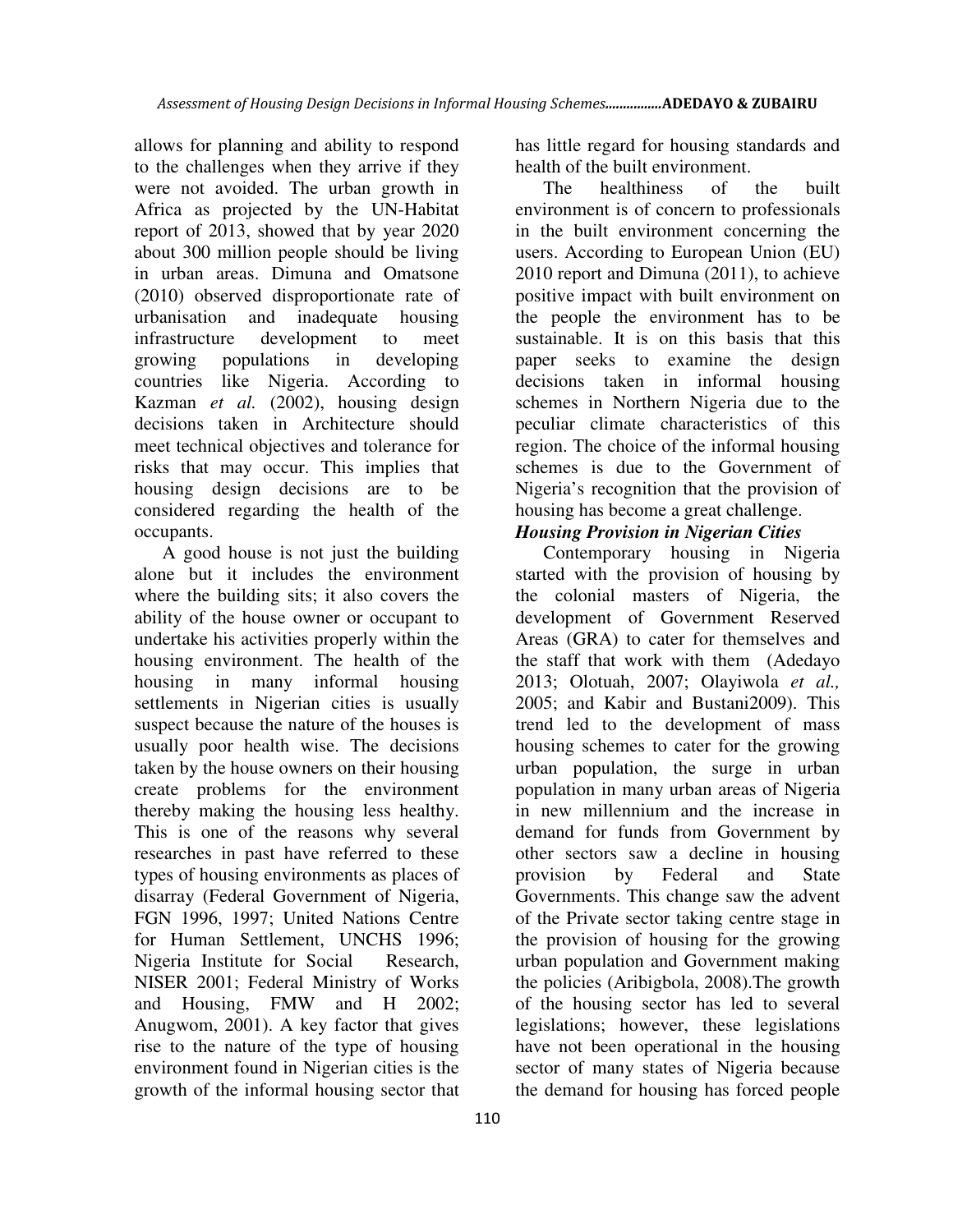allows for planning and ability to respond to the challenges when they arrive if they were not avoided. The urban growth in Africa as projected by the UN-Habitat report of 2013, showed that by year 2020 about 300 million people should be living in urban areas. Dimuna and Omatsone (2010) observed disproportionate rate of urbanisation and inadequate housing infrastructure development to meet growing populations in developing countries like Nigeria. According to Kazman *et al.* (2002), housing design decisions taken in Architecture should meet technical objectives and tolerance for risks that may occur. This implies that housing design decisions are to be considered regarding the health of the occupants.

A good house is not just the building alone but it includes the environment where the building sits; it also covers the ability of the house owner or occupant to undertake his activities properly within the housing environment. The health of the housing in many informal housing settlements in Nigerian cities is usually suspect because the nature of the houses is usually poor health wise. The decisions taken by the house owners on their housing create problems for the environment thereby making the housing less healthy. This is one of the reasons why several researches in past have referred to these types of housing environments as places of disarray (Federal Government of Nigeria, FGN 1996, 1997; United Nations Centre for Human Settlement, UNCHS 1996; Nigeria Institute for Social Research, NISER 2001; Federal Ministry of Works and Housing, FMW and H 2002; Anugwom, 2001). A key factor that gives rise to the nature of the type of housing environment found in Nigerian cities is the growth of the informal housing sector that has little regard for housing standards and health of the built environment.

The healthiness of the built environment is of concern to professionals in the built environment concerning the users. According to European Union (EU) 2010 report and Dimuna (2011), to achieve positive impact with built environment on the people the environment has to be sustainable. It is on this basis that this paper seeks to examine the design decisions taken in informal housing schemes in Northern Nigeria due to the peculiar climate characteristics of this region. The choice of the informal housing schemes is due to the Government of Nigeria's recognition that the provision of housing has become a great challenge.

# *Housing Provision in Nigerian Cities*

Contemporary housing in Nigeria started with the provision of housing by the colonial masters of Nigeria, the development of Government Reserved Areas (GRA) to cater for themselves and the staff that work with them (Adedayo 2013; Olotuah, 2007; Olayiwola *et al.,*  2005; and Kabir and Bustani2009). This trend led to the development of mass housing schemes to cater for the growing urban population, the surge in urban population in many urban areas of Nigeria in new millennium and the increase in demand for funds from Government by other sectors saw a decline in housing provision by Federal and State Governments. This change saw the advent of the Private sector taking centre stage in the provision of housing for the growing urban population and Government making the policies (Aribigbola, 2008).The growth of the housing sector has led to several legislations; however, these legislations have not been operational in the housing sector of many states of Nigeria because the demand for housing has forced people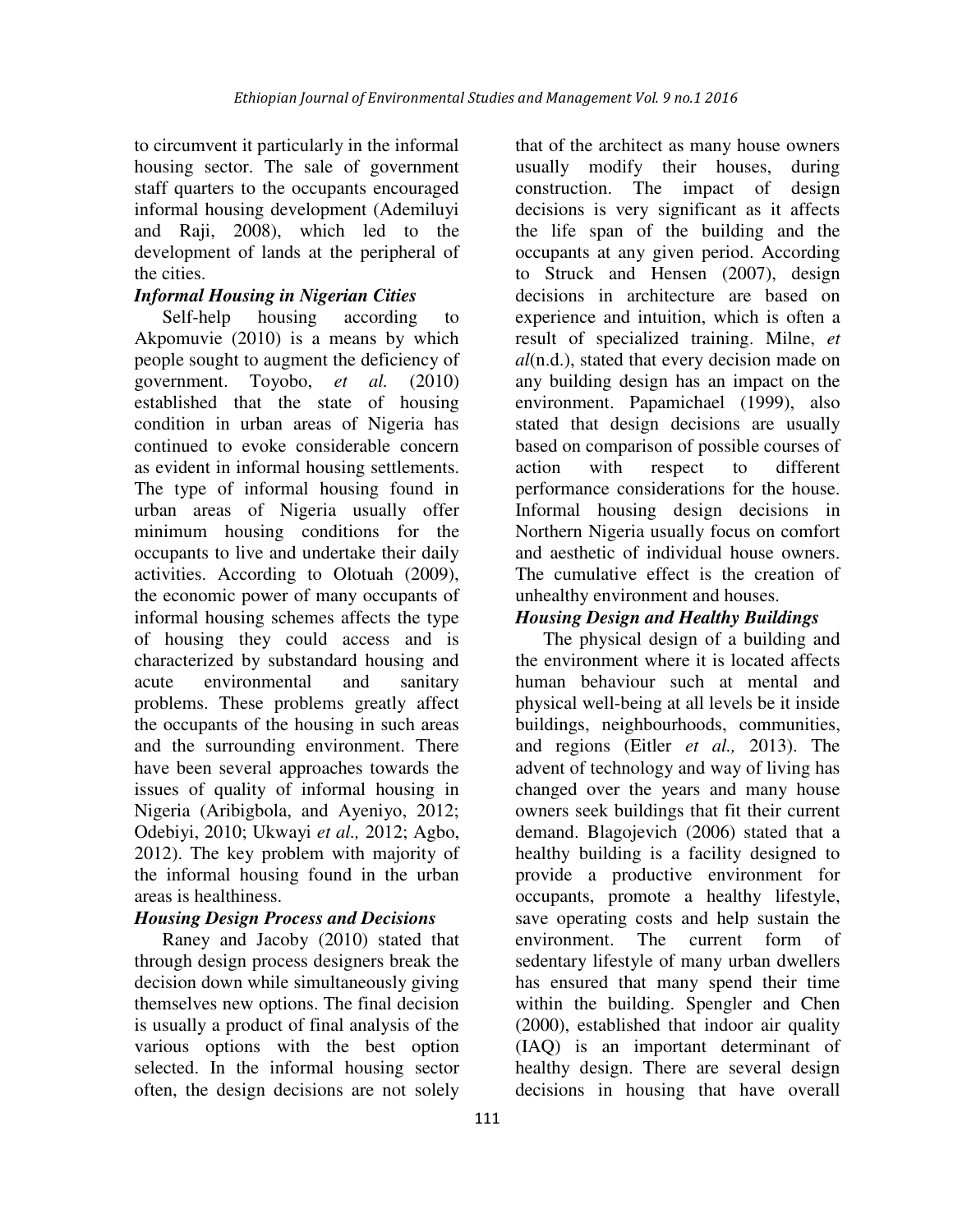to circumvent it particularly in the informal housing sector. The sale of government staff quarters to the occupants encouraged informal housing development (Ademiluyi and Raji, 2008), which led to the development of lands at the peripheral of the cities.

# *Informal Housing in Nigerian Cities*

Self-help housing according to Akpomuvie (2010) is a means by which people sought to augment the deficiency of government. Toyobo, *et al.* (2010) established that the state of housing condition in urban areas of Nigeria has continued to evoke considerable concern as evident in informal housing settlements. The type of informal housing found in urban areas of Nigeria usually offer minimum housing conditions for the occupants to live and undertake their daily activities. According to Olotuah (2009), the economic power of many occupants of informal housing schemes affects the type of housing they could access and is characterized by substandard housing and acute environmental and sanitary problems. These problems greatly affect the occupants of the housing in such areas and the surrounding environment. There have been several approaches towards the issues of quality of informal housing in Nigeria (Aribigbola, and Ayeniyo, 2012; Odebiyi, 2010; Ukwayi *et al.,* 2012; Agbo, 2012). The key problem with majority of the informal housing found in the urban areas is healthiness.

# *Housing Design Process and Decisions*

Raney and Jacoby (2010) stated that through design process designers break the decision down while simultaneously giving themselves new options. The final decision is usually a product of final analysis of the various options with the best option selected. In the informal housing sector often, the design decisions are not solely that of the architect as many house owners usually modify their houses, during construction. The impact of design decisions is very significant as it affects the life span of the building and the occupants at any given period. According to Struck and Hensen (2007), design decisions in architecture are based on experience and intuition, which is often a result of specialized training. Milne, *et al*(n.d.), stated that every decision made on any building design has an impact on the environment. Papamichael (1999), also stated that design decisions are usually based on comparison of possible courses of action with respect to different performance considerations for the house. Informal housing design decisions in Northern Nigeria usually focus on comfort and aesthetic of individual house owners. The cumulative effect is the creation of unhealthy environment and houses.

# *Housing Design and Healthy Buildings*

The physical design of a building and the environment where it is located affects human behaviour such at mental and physical well-being at all levels be it inside buildings, neighbourhoods, communities, and regions (Eitler *et al.,* 2013). The advent of technology and way of living has changed over the years and many house owners seek buildings that fit their current demand. Blagojevich (2006) stated that a healthy building is a facility designed to provide a productive environment for occupants, promote a healthy lifestyle, save operating costs and help sustain the environment. The current form of sedentary lifestyle of many urban dwellers has ensured that many spend their time within the building. Spengler and Chen (2000), established that indoor air quality (IAQ) is an important determinant of healthy design. There are several design decisions in housing that have overall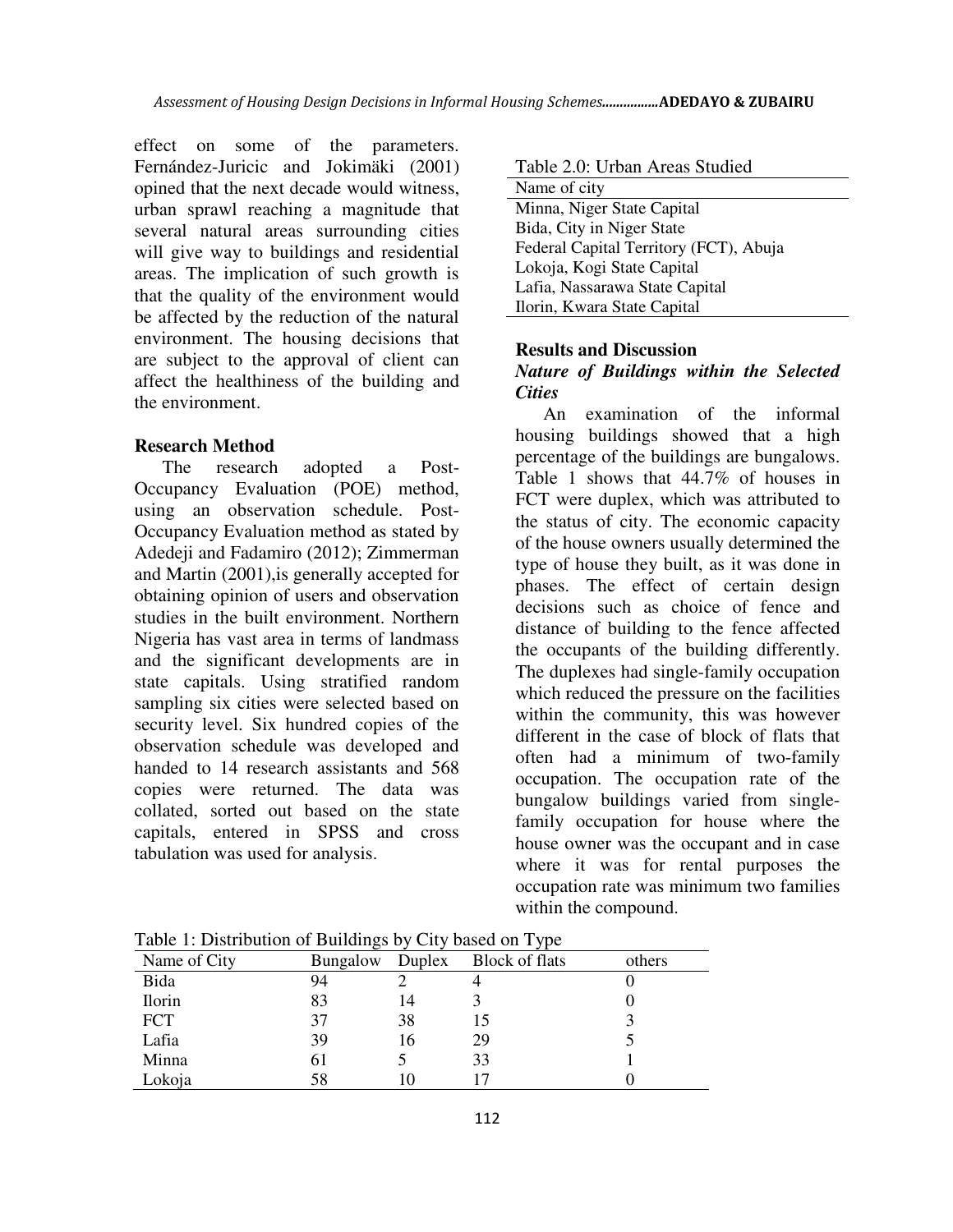effect on some of the parameters. Fernández-Juricic and Jokimäki (2001) opined that the next decade would witness, urban sprawl reaching a magnitude that several natural areas surrounding cities will give way to buildings and residential areas. The implication of such growth is that the quality of the environment would be affected by the reduction of the natural environment. The housing decisions that are subject to the approval of client can affect the healthiness of the building and the environment.

## **Research Method**

The research adopted a Post-Occupancy Evaluation (POE) method, using an observation schedule. Post-Occupancy Evaluation method as stated by Adedeji and Fadamiro (2012); Zimmerman and Martin (2001),is generally accepted for obtaining opinion of users and observation studies in the built environment. Northern Nigeria has vast area in terms of landmass and the significant developments are in state capitals. Using stratified random sampling six cities were selected based on security level. Six hundred copies of the observation schedule was developed and handed to 14 research assistants and 568 copies were returned. The data was collated, sorted out based on the state capitals, entered in SPSS and cross tabulation was used for analysis.

Table 2.0: Urban Areas Studied

| Name of city                           |
|----------------------------------------|
| Minna, Niger State Capital             |
| Bida, City in Niger State              |
| Federal Capital Territory (FCT), Abuja |
| Lokoja, Kogi State Capital             |
| Lafia, Nassarawa State Capital         |
| Ilorin, Kwara State Capital            |
|                                        |

### **Results and Discussion**

## *Nature of Buildings within the Selected Cities*

An examination of the informal housing buildings showed that a high percentage of the buildings are bungalows. Table 1 shows that 44.7% of houses in FCT were duplex, which was attributed to the status of city. The economic capacity of the house owners usually determined the type of house they built, as it was done in phases. The effect of certain design decisions such as choice of fence and distance of building to the fence affected the occupants of the building differently. The duplexes had single-family occupation which reduced the pressure on the facilities within the community, this was however different in the case of block of flats that often had a minimum of two-family occupation. The occupation rate of the bungalow buildings varied from singlefamily occupation for house where the house owner was the occupant and in case where it was for rental purposes the occupation rate was minimum two families within the compound.

| Name of City  | <b>Bungalow</b> | Duplex | Block of flats | others |
|---------------|-----------------|--------|----------------|--------|
| Bida          | 94              |        |                |        |
| <b>Ilorin</b> | 83              | 14     |                |        |
| <b>FCT</b>    | 37              | 38     | 15             |        |
| Lafia         | 39              | 16     | 29             |        |
| Minna         | 61              |        | 33             |        |
| Lokoja        | 58              |        |                |        |

Table 1: Distribution of Buildings by City based on Type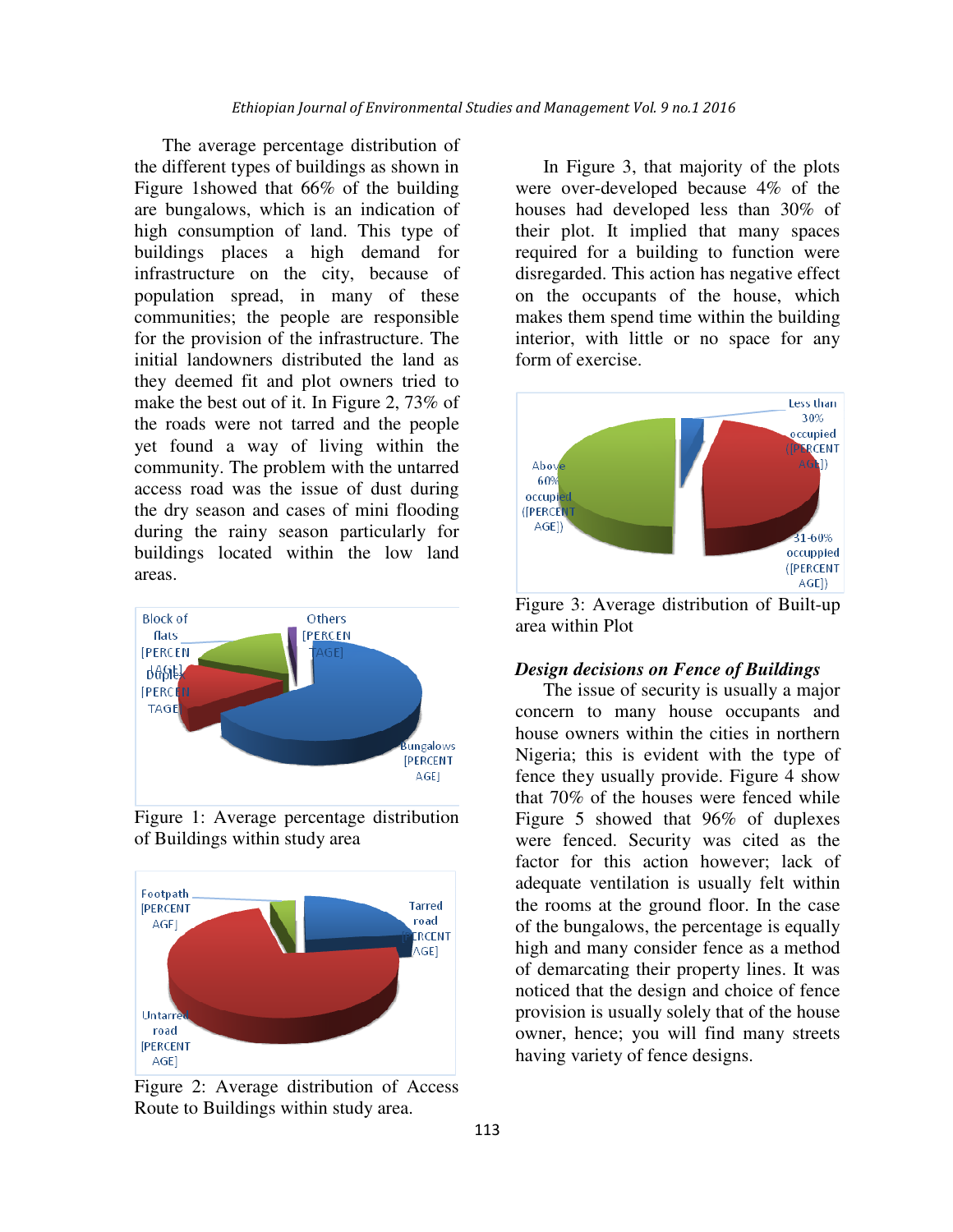The average percentage distribution of the different types of buildings as shown in Figure 1showed that 66% of the building are bungalows, which is an indication of high consumption of land. This type of buildings places a high demand for infrastructure on the city, because of population spread, in many of these communities; the people are responsible for the provision of the infrastructure. The initial landowners distributed the land as they deemed fit and plot owners tried to make the best out of it. In Figure 2, 73% of the roads were not tarred and the people yet found a way of living within the community. The problem with the untarred access road was the issue of dust during the dry season and cases of mini flooding during the rainy season particularly for buildings located within the low land areas.



Figure 1: Average percentage distribution of Buildings within study area



Figure 2: Average distribution of Access Route to Buildings within study area.

In Figure 3, that majority of the plots were over-developed because 4% of the houses had developed less than 30% of their plot. It implied that many spaces required for a building to function were disregarded. This action has negative effect on the occupants of the house, which makes them spend time within the building interior, with little or no space for any form of exercise.



Figure 3: Average distribution of Built-up area within Plot

### *Design decisions on Fence of Buildings*

The issue of security is usually a major concern to many house occupants and house owners within the cities in northern Nigeria; this is evident with the type of fence they usually provide. Figure 4 show that 70% of the houses were fenced while Figure 5 showed that 96% of duplexes were fenced. Security was cited as the factor for this action however; lack of adequate ventilation is usually felt within the rooms at the ground floor. In the case of the bungalows, the percentage is equally high and many consider fence as a method of demarcating their property lines. It was noticed that the design and choice of fence provision is usually solely that of the house owner, hence; you will find many streets having variety of fence designs.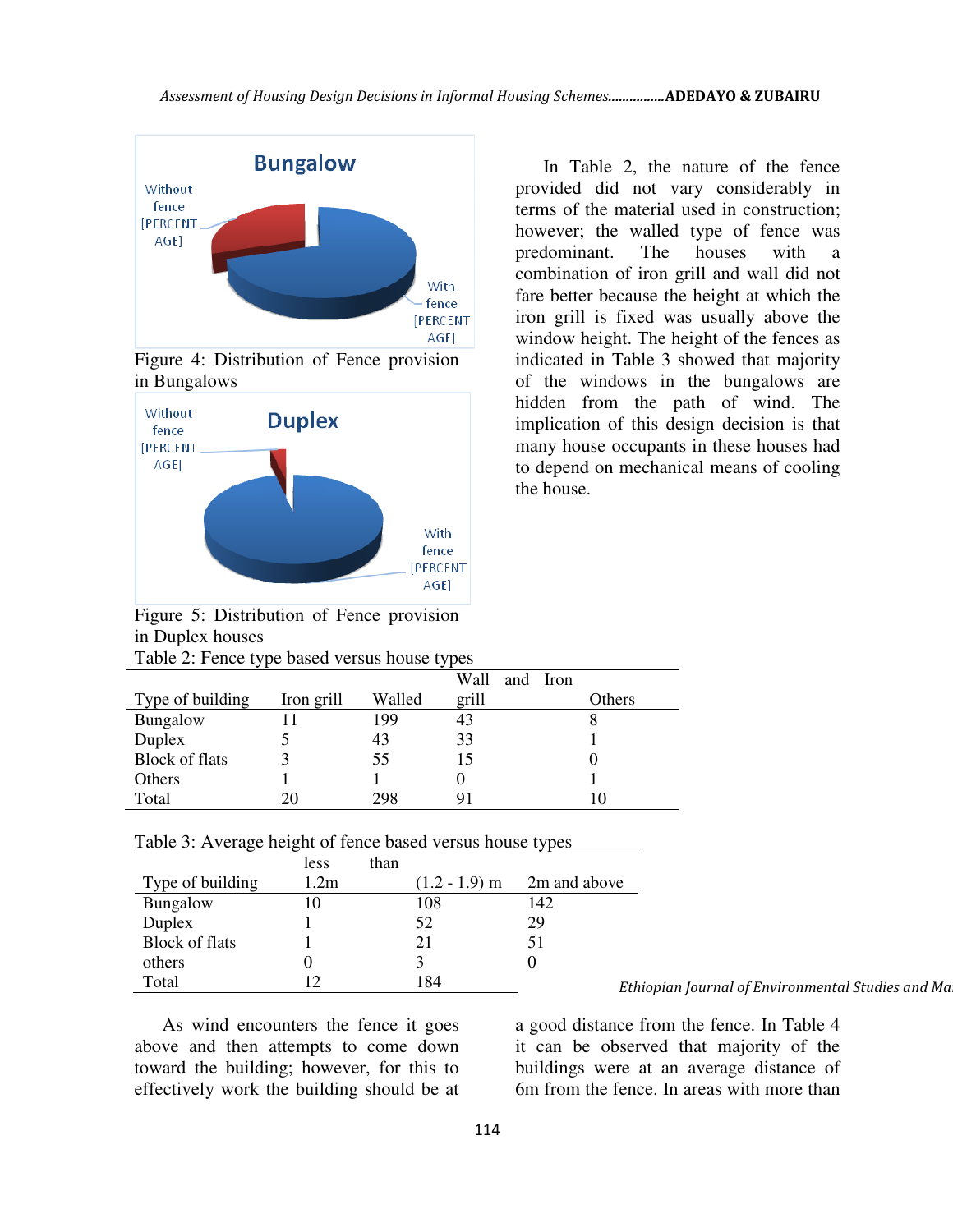

Figure 4: Distribution of Fence provision in Bungalows



In Table 2, the nature of the fence provided did not vary considerably in terms of the material used in construction; however; the walled type of fence was predominant. The houses with a combination of iron grill and wall did not fare better because the height at which the iron grill is fixed was usually above the window height. The height of the fences as indicated in Table 3 showed that majority of the windows in the bungalows are hidden from the path of wind. The implication of this design decision is that many house occupants in these houses had to depend on mechanical means of cooling the house.

Figure 5: Distribution of Fence provision in Duplex houses Table 2: Fence type based versus house types

|                       | ⊤ ר        |        |                  |        |  |  |
|-----------------------|------------|--------|------------------|--------|--|--|
|                       |            |        | Wall<br>and Iron |        |  |  |
| Type of building      | Iron grill | Walled | grill            | Others |  |  |
| Bungalow              |            | 199    | 43               |        |  |  |
| Duplex                |            | 43     | 33               |        |  |  |
| <b>Block of flats</b> |            | 55     | 15               |        |  |  |
| Others                |            |        |                  |        |  |  |
| Total                 |            | 298    |                  |        |  |  |

| Table 3: Average height of fence based versus house types |  |
|-----------------------------------------------------------|--|
|-----------------------------------------------------------|--|

|                       | less | than |                 |              |     |
|-----------------------|------|------|-----------------|--------------|-----|
| Type of building      | 1.2m |      | $(1.2 - 1.9)$ m | 2m and above |     |
| Bungalow              | 10   |      | 108             | 142          |     |
| Duplex                |      |      | 52              | 29           |     |
| <b>Block of flats</b> |      |      | 21              | 51           |     |
| others                |      |      |                 |              |     |
| Total                 | 12   |      | 184             |              | Etl |

As wind encounters the fence it goes above and then attempts to come down toward the building; however, for this to effectively work the building should be at

*Ethiopian Journal of Environmental Studies and Management Vol. 9 no.1 2016*

a good distance from the fence. In Table 4 it can be observed that majority of the buildings were at an average distance of 6m from the fence. In areas with more than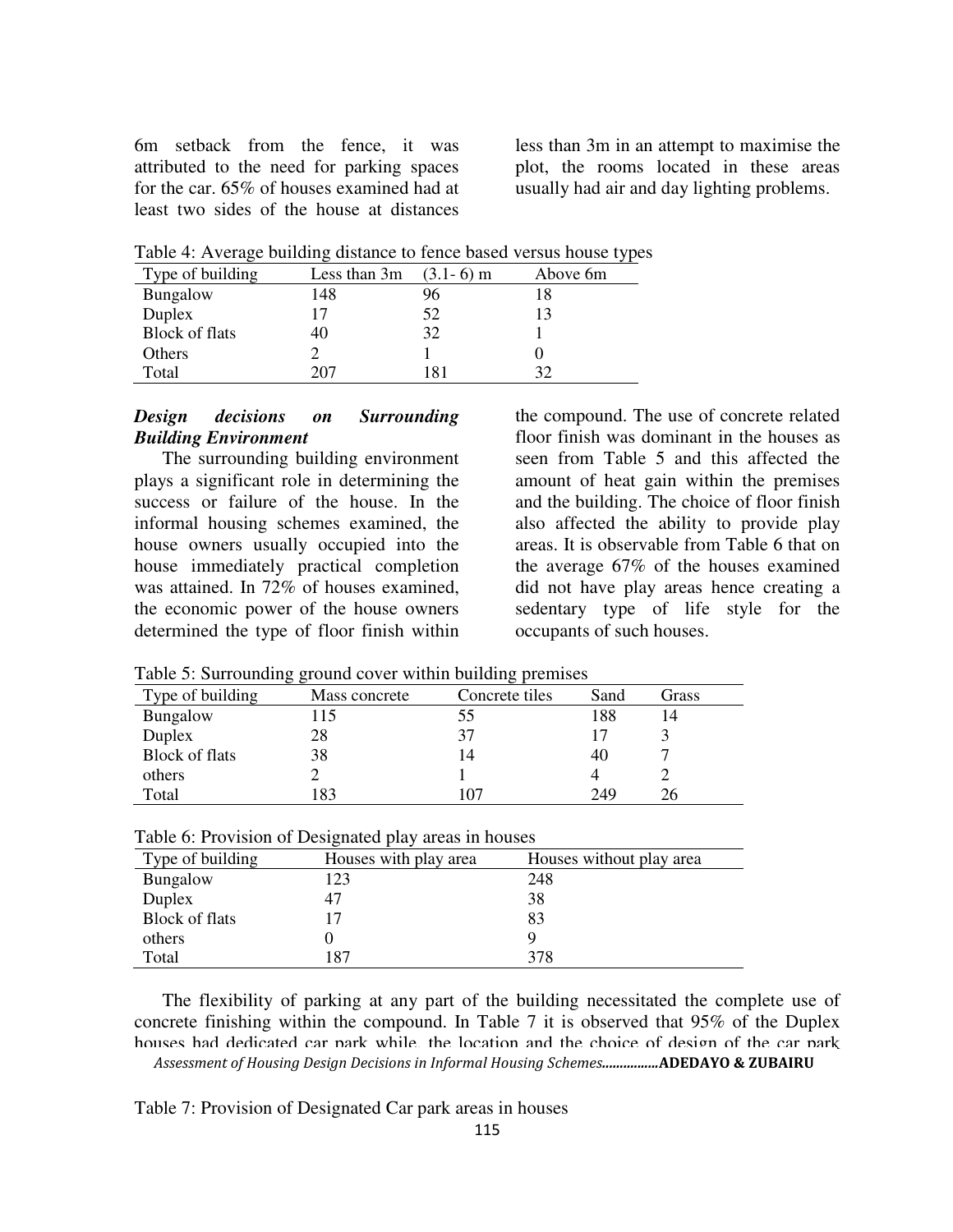6m setback from the fence, it was attributed to the need for parking spaces for the car. 65% of houses examined had at least two sides of the house at distances less than 3m in an attempt to maximise the plot, the rooms located in these areas usually had air and day lighting problems.

Table 4: Average building distance to fence based versus house types

| Type of building      | Less than 3m | $(3.1-6)$ m | Above 6m |
|-----------------------|--------------|-------------|----------|
| <b>Bungalow</b>       | 148          | 96          | 18       |
| Duplex                |              | 52          | 13       |
| <b>Block of flats</b> | 40           | 32          |          |
| Others                |              |             |          |
| Total                 | 207          | 181         | 32       |

### *Design decisions on Surrounding Building Environment*

The surrounding building environment plays a significant role in determining the success or failure of the house. In the informal housing schemes examined, the house owners usually occupied into the house immediately practical completion was attained. In 72% of houses examined. the economic power of the house owners determined the type of floor finish within

the compound. The use of concrete related floor finish was dominant in the houses as seen from Table 5 and this affected the amount of heat gain within the premises and the building. The choice of floor finish also affected the ability to provide play areas. It is observable from Table 6 that on the average 67% of the houses examined did not have play areas hence creating a sedentary type of life style for the occupants of such houses.

|                       | ິດຕ           |                |      |       |  |  |
|-----------------------|---------------|----------------|------|-------|--|--|
| Type of building      | Mass concrete | Concrete tiles | Sand | Grass |  |  |
| Bungalow              | 15            | CC.            | 188  | 14    |  |  |
| Duplex                | 28            | 37             |      |       |  |  |
| <b>Block of flats</b> | 38            | 14             | 40   |       |  |  |
| others                |               |                |      |       |  |  |
| Total                 | 83            | 107            | 249  |       |  |  |

Table 5: Surrounding ground cover within building premises

|  | Table 6: Provision of Designated play areas in houses |  |
|--|-------------------------------------------------------|--|
|  |                                                       |  |

| Type of building | Houses with play area | Houses without play area |
|------------------|-----------------------|--------------------------|
| Bungalow         | 123                   | 248                      |
| Duplex           | 47                    | 38                       |
| Block of flats   | 17                    | 83                       |
| others           |                       | Q                        |
| Total            | 187                   | 378                      |

The flexibility of parking at any part of the building necessitated the complete use of concrete finishing within the compound. In Table 7 it is observed that 95% of the Duplex houses had dedicated car park while, the location and the choice of design of the car park affected the airflow into the house, because they were close to the building. *Assessment of Housing Design Decisions in Informal Housing Schemes................***ADEDAYO & ZUBAIRU**

Table 7: Provision of Designated Car park areas in houses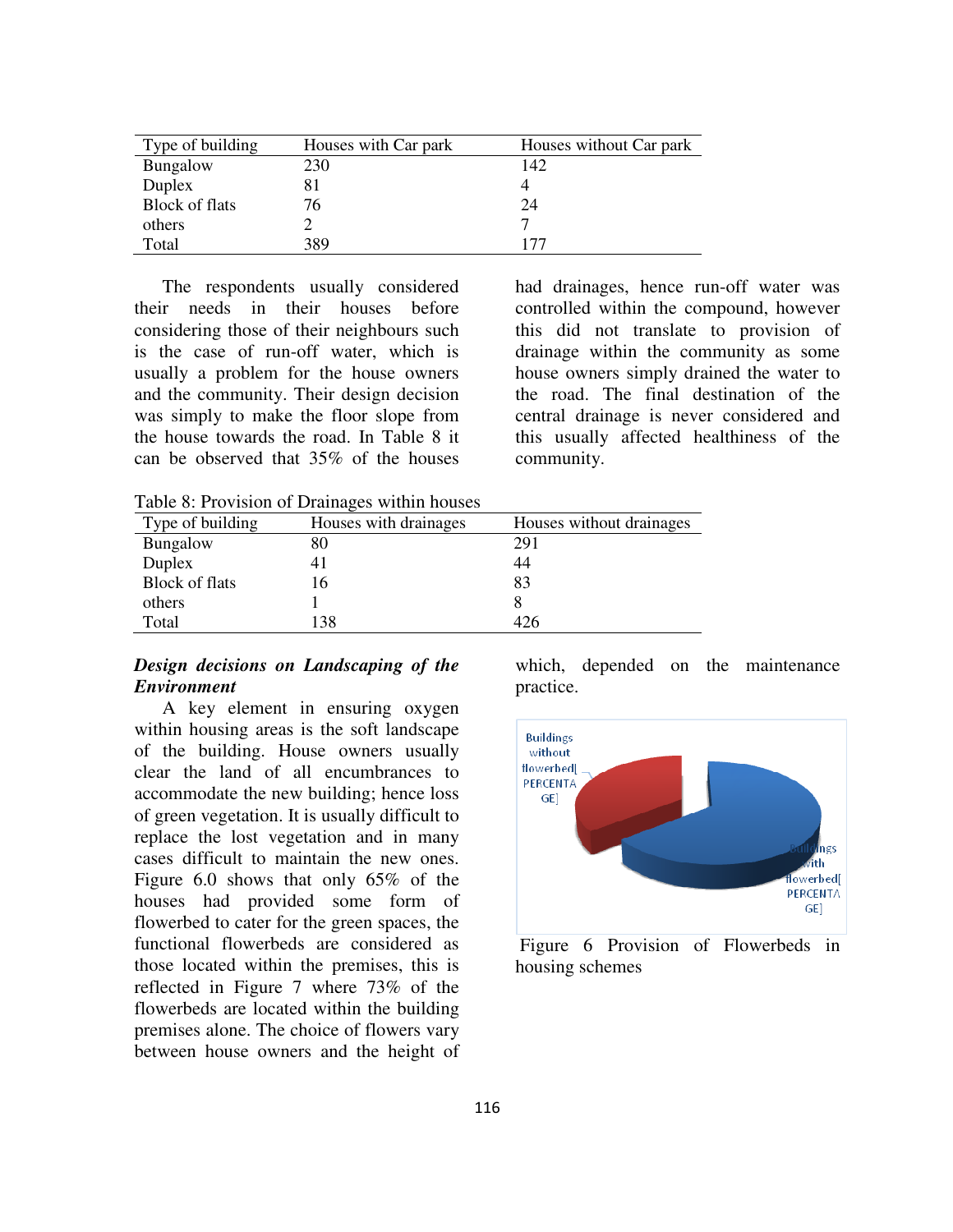| Type of building      | Houses with Car park | Houses without Car park |
|-----------------------|----------------------|-------------------------|
| Bungalow              | 230                  | 142                     |
| Duplex                |                      |                         |
| <b>Block of flats</b> | 76                   | 24                      |
| others                |                      |                         |
| Total                 | 389                  | 177                     |

The respondents usually considered their needs in their houses before considering those of their neighbours such is the case of run-off water, which is usually a problem for the house owners and the community. Their design decision was simply to make the floor slope from the house towards the road. In Table 8 it can be observed that 35% of the houses

had drainages, hence run-off water was controlled within the compound, however this did not translate to provision of drainage within the community as some house owners simply drained the water to the road. The final destination of the central drainage is never considered and this usually affected healthiness of the community.

Table 8: Provision of Drainages within houses

| Type of building      | Houses with drainages | Houses without drainages |
|-----------------------|-----------------------|--------------------------|
| Bungalow              | 80                    | 291                      |
| Duplex                |                       | 44                       |
| <b>Block of flats</b> | 16                    | 83                       |
| others                |                       |                          |
| Total                 | 138                   | 4/6                      |

## *Design decisions on Landscaping of the Environment*

A key element in ensuring oxygen within housing areas is the soft landscape of the building. House owners usually clear the land of all encumbrances to accommodate the new building; hence loss of green vegetation. It is usually difficult to replace the lost vegetation and in many cases difficult to maintain the new ones. Figure 6.0 shows that only 65% of the houses had provided some form of flowerbed to cater for the green spaces, the functional flowerbeds are considered as those located within the premises, this is reflected in Figure 7 where 73% of the flowerbeds are located within the building premises alone. The choice of flowers vary between house owners and the height of which, depended on the maintenance practice.



 Figure 6 Provision of Flowerbeds in housing schemes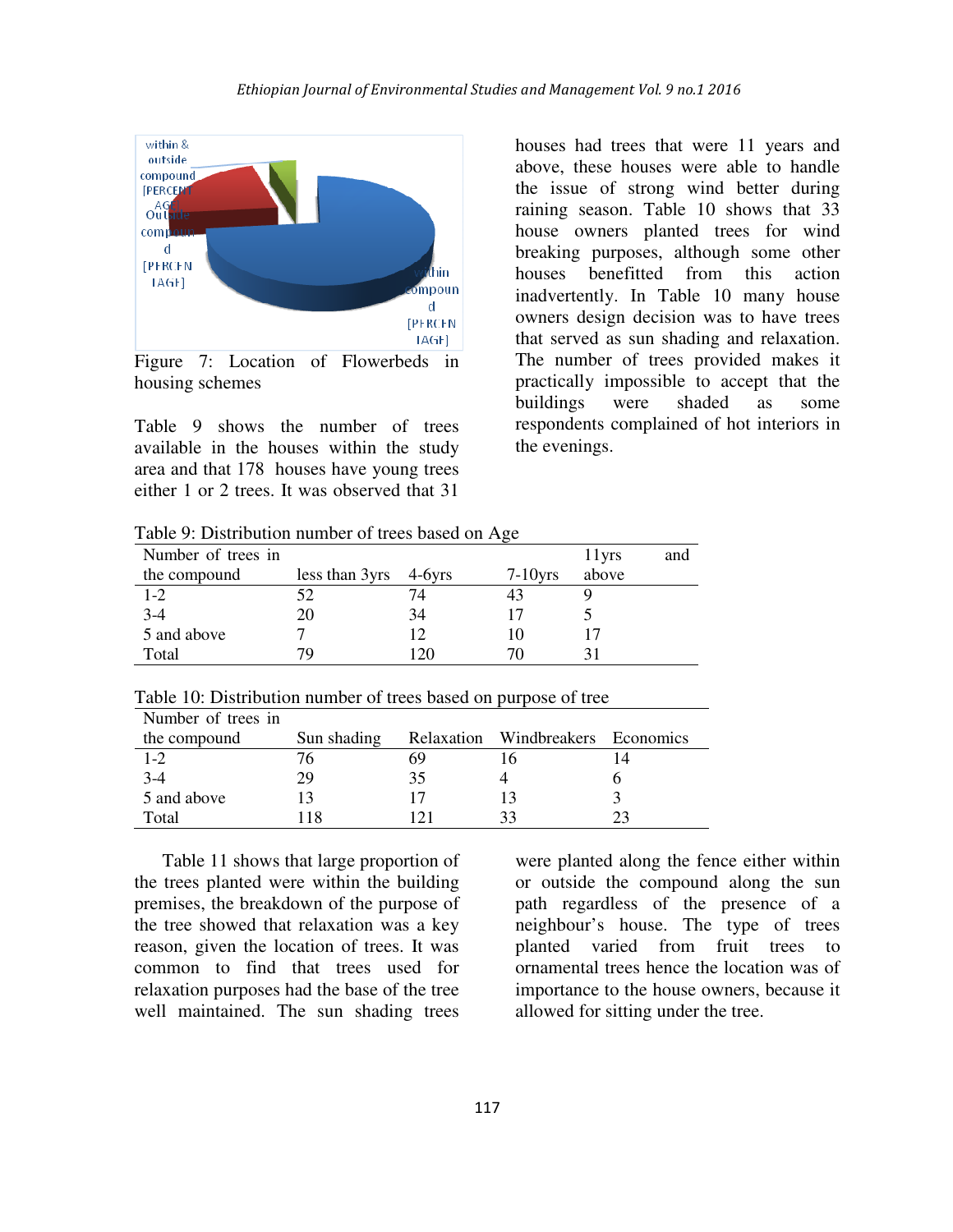

Figure 7: Location of Flowerbeds in housing schemes

Table 9 shows the number of trees available in the houses within the study area and that 178 houses have young trees either 1 or 2 trees. It was observed that 31

houses had trees that were 11 years and above, these houses were able to handle the issue of strong wind better during raining season. Table 10 shows that 33 house owners planted trees for wind breaking purposes, although some other houses benefitted from this action inadvertently. In Table 10 many house owners design decision was to have trees that served as sun shading and relaxation. The number of trees provided makes it practically impossible to accept that the buildings were shaded as some respondents complained of hot interiors in the evenings.

Table 9: Distribution number of trees based on Age

| Number of trees in |                |        |            | 1 lyrs | and |
|--------------------|----------------|--------|------------|--------|-----|
| the compound       | less than 3yrs | 4-6yrs | $7-10$ yrs | above  |     |
| $1 - 2$            | 52             |        | 43         |        |     |
| $3-4$              | 20             | 34     |            |        |     |
| 5 and above        |                |        |            |        |     |
| Total              | 70             | 120    | 70         |        |     |

| Number of trees in |             |    |                                   |  |
|--------------------|-------------|----|-----------------------------------|--|
| the compound       | Sun shading |    | Relaxation Windbreakers Economics |  |
| $1 - 2$            | 76          | 69 |                                   |  |
| $3-4$              | 29          | 35 |                                   |  |
| 5 and above        |             |    |                                   |  |
| Total              |             |    | 33                                |  |

Table 11 shows that large proportion of the trees planted were within the building premises, the breakdown of the purpose of the tree showed that relaxation was a key reason, given the location of trees. It was common to find that trees used for relaxation purposes had the base of the tree well maintained. The sun shading trees were planted along the fence either within or outside the compound along the sun path regardless of the presence of a neighbour's house. The type of trees planted varied from fruit trees to ornamental trees hence the location was of importance to the house owners, because it allowed for sitting under the tree.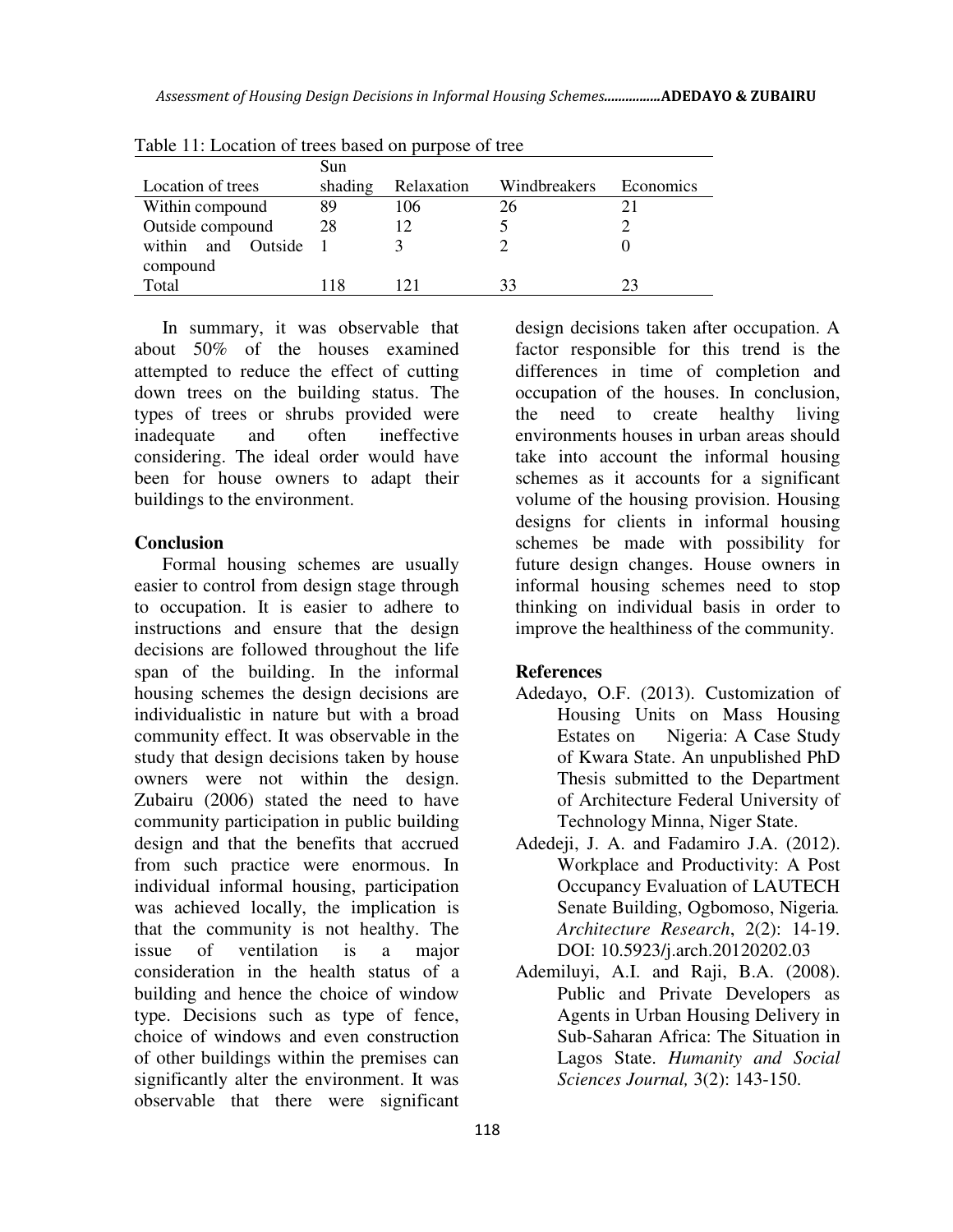|                          | Sun     |            |              |           |  |  |
|--------------------------|---------|------------|--------------|-----------|--|--|
| Location of trees        | shading | Relaxation | Windbreakers | Economics |  |  |
| Within compound          | 89      | 106        | 26           |           |  |  |
| Outside compound         | 28      |            |              |           |  |  |
| and<br>Outside<br>within |         |            |              |           |  |  |
| compound                 |         |            |              |           |  |  |
| Total                    | 118     | 21         | 33           | 23        |  |  |

Table 11: Location of trees based on purpose of tree

In summary, it was observable that about 50% of the houses examined attempted to reduce the effect of cutting down trees on the building status. The types of trees or shrubs provided were inadequate and often ineffective considering. The ideal order would have been for house owners to adapt their buildings to the environment.

#### **Conclusion**

Formal housing schemes are usually easier to control from design stage through to occupation. It is easier to adhere to instructions and ensure that the design decisions are followed throughout the life span of the building. In the informal housing schemes the design decisions are individualistic in nature but with a broad community effect. It was observable in the study that design decisions taken by house owners were not within the design. Zubairu (2006) stated the need to have community participation in public building design and that the benefits that accrued from such practice were enormous. In individual informal housing, participation was achieved locally, the implication is that the community is not healthy. The issue of ventilation is a major consideration in the health status of a building and hence the choice of window type. Decisions such as type of fence, choice of windows and even construction of other buildings within the premises can significantly alter the environment. It was observable that there were significant design decisions taken after occupation. A factor responsible for this trend is the differences in time of completion and occupation of the houses. In conclusion, the need to create healthy living environments houses in urban areas should take into account the informal housing schemes as it accounts for a significant volume of the housing provision. Housing designs for clients in informal housing schemes be made with possibility for future design changes. House owners in informal housing schemes need to stop thinking on individual basis in order to improve the healthiness of the community.

### **References**

- Adedayo, O.F. (2013). Customization of Housing Units on Mass Housing Estates on Nigeria: A Case Study of Kwara State. An unpublished PhD Thesis submitted to the Department of Architecture Federal University of Technology Minna, Niger State.
- Adedeji, J. A. and Fadamiro J.A. (2012). Workplace and Productivity: A Post Occupancy Evaluation of LAUTECH Senate Building, Ogbomoso, Nigeria*. Architecture Research*, 2(2): 14-19. DOI: 10.5923/j.arch.20120202.03
- Ademiluyi, A.I. and Raji, B.A. (2008). Public and Private Developers as Agents in Urban Housing Delivery in Sub-Saharan Africa: The Situation in Lagos State. *Humanity and Social Sciences Journal,* 3(2): 143-150.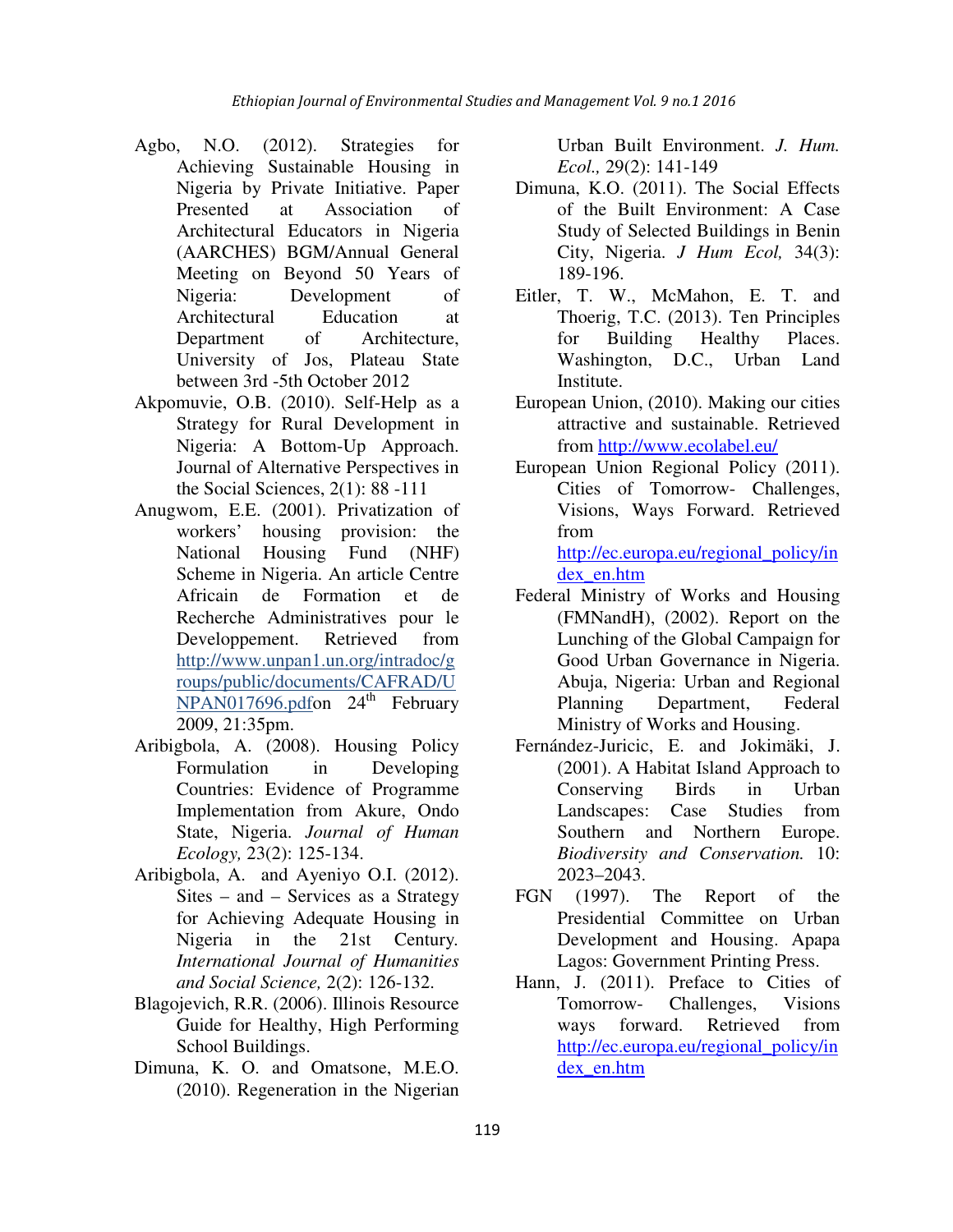- Agbo, N.O. (2012). Strategies for Achieving Sustainable Housing in Nigeria by Private Initiative. Paper Presented at Association of Architectural Educators in Nigeria (AARCHES) BGM/Annual General Meeting on Beyond 50 Years of Nigeria: Development of Architectural Education at Department of Architecture, University of Jos, Plateau State between 3rd -5th October 2012
- Akpomuvie, O.B. (2010). Self-Help as a Strategy for Rural Development in Nigeria: A Bottom-Up Approach. Journal of Alternative Perspectives in the Social Sciences, 2(1): 88 -111
- Anugwom, E.E. (2001). Privatization of workers' housing provision: the National Housing Fund (NHF) Scheme in Nigeria. An article Centre Africain de Formation et de Recherche Administratives pour le Developpement. Retrieved from http://www.unpan1.un.org/intradoc/g roups/public/documents/CAFRAD/U  $NPAN017696.pdfon 24<sup>th</sup> February$ 2009, 21:35pm.
- Aribigbola, A. (2008). Housing Policy Formulation in Developing Countries: Evidence of Programme Implementation from Akure, Ondo State, Nigeria. *Journal of Human Ecology,* 23(2): 125-134.
- Aribigbola, A. and Ayeniyo O.I. (2012). Sites – and – Services as a Strategy for Achieving Adequate Housing in Nigeria in the 21st Century*. International Journal of Humanities and Social Science,* 2(2): 126-132.
- Blagojevich, R.R. (2006). Illinois Resource Guide for Healthy, High Performing School Buildings.
- Dimuna, K. O. and Omatsone, M.E.O. (2010). Regeneration in the Nigerian

Urban Built Environment. *J. Hum. Ecol.,* 29(2): 141-149

- Dimuna, K.O. (2011). The Social Effects of the Built Environment: A Case Study of Selected Buildings in Benin City, Nigeria. *J Hum Ecol,* 34(3): 189-196.
- Eitler, T. W., McMahon, E. T. and Thoerig, T.C. (2013). Ten Principles for Building Healthy Places. Washington, D.C., Urban Land Institute.
- European Union, (2010). Making our cities attractive and sustainable. Retrieved from http://www.ecolabel.eu/
- European Union Regional Policy (2011). Cities of Tomorrow- Challenges, Visions, Ways Forward. Retrieved from

http://ec.europa.eu/regional\_policy/in dex\_en.htm

- Federal Ministry of Works and Housing (FMNandH), (2002). Report on the Lunching of the Global Campaign for Good Urban Governance in Nigeria. Abuja, Nigeria: Urban and Regional Planning Department, Federal Ministry of Works and Housing.
- Fernández-Juricic, E. and Jokimäki, J. (2001). A Habitat Island Approach to Conserving Birds in Urban Landscapes: Case Studies from Southern and Northern Europe. *Biodiversity and Conservation.* 10: 2023–2043.
- FGN (1997). The Report of the Presidential Committee on Urban Development and Housing. Apapa Lagos: Government Printing Press.
- Hann, J. (2011). Preface to Cities of Tomorrow- Challenges, Visions ways forward. Retrieved from http://ec.europa.eu/regional\_policy/in dex\_en.htm